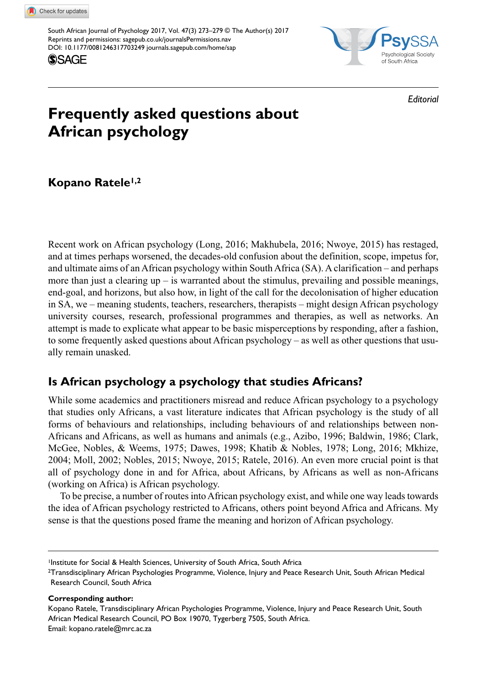DOI: 10.1177/0081246317703249 [journals.sagepub.com/home/sap](https://journals.sagepub.com/home/sap) South African Journal of Psychology 2017, Vol. 47(3) 273–279 © The Author(s) 2017 [Reprints and permissions: sagepub.co.uk/journalsPermissions.nav](https://uk.sagepub.com/en-gb/journals-permissions)

**SSAGE** 



*Editorial*

# **Frequently asked questions about African psychology**

**Kopano Ratele1,2**

Recent work on African psychology (Long, 2016; Makhubela, 2016; Nwoye, 2015) has restaged, and at times perhaps worsened, the decades-old confusion about the definition, scope, impetus for, and ultimate aims of an African psychology within South Africa (SA). A clarification – and perhaps more than just a clearing  $up - is$  warranted about the stimulus, prevailing and possible meanings, end-goal, and horizons, but also how, in light of the call for the decolonisation of higher education in SA, we – meaning students, teachers, researchers, therapists – might design African psychology university courses, research, professional programmes and therapies, as well as networks. An attempt is made to explicate what appear to be basic misperceptions by responding, after a fashion, to some frequently asked questions about African psychology – as well as other questions that usually remain unasked.

## **Is African psychology a psychology that studies Africans?**

While some academics and practitioners misread and reduce African psychology to a psychology that studies only Africans, a vast literature indicates that African psychology is the study of all forms of behaviours and relationships, including behaviours of and relationships between non-Africans and Africans, as well as humans and animals (e.g., Azibo, 1996; Baldwin, 1986; Clark, McGee, Nobles, & Weems, 1975; Dawes, 1998; Khatib & Nobles, 1978; Long, 2016; Mkhize, 2004; Moll, 2002; Nobles, 2015; Nwoye, 2015; Ratele, 2016). An even more crucial point is that all of psychology done in and for Africa, about Africans, by Africans as well as non-Africans (working on Africa) is African psychology.

To be precise, a number of routes into African psychology exist, and while one way leads towards the idea of African psychology restricted to Africans, others point beyond Africa and Africans. My sense is that the questions posed frame the meaning and horizon of African psychology.

**Corresponding author:**

Kopano Ratele, Transdisciplinary African Psychologies Programme, Violence, Injury and Peace Research Unit, South African Medical Research Council, PO Box 19070, Tygerberg 7505, South Africa. Email: [kopano.ratele@mrc.ac.za](mailto:kopano.ratele@mrc.ac.za)

<sup>&</sup>lt;sup>1</sup>Institute for Social & Health Sciences, University of South Africa, South Africa

<sup>2</sup>Transdisciplinary African Psychologies Programme, Violence, Injury and Peace Research Unit, South African Medical Research Council, South Africa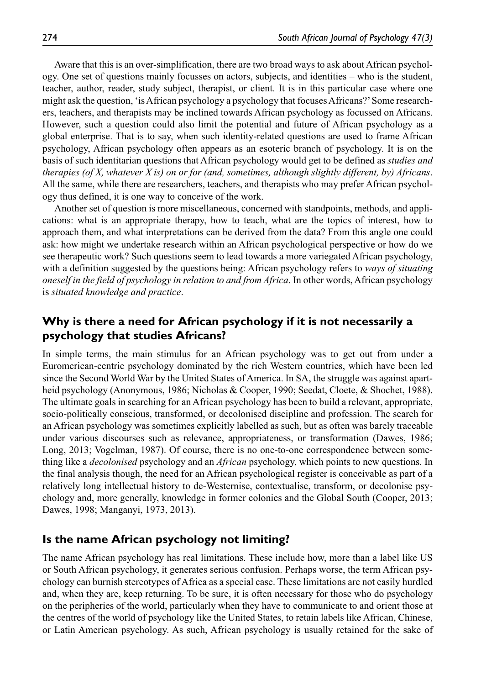Aware that this is an over-simplification, there are two broad ways to ask about African psychology. One set of questions mainly focusses on actors, subjects, and identities – who is the student, teacher, author, reader, study subject, therapist, or client. It is in this particular case where one might ask the question, 'is African psychology a psychology that focuses Africans?' Some researchers, teachers, and therapists may be inclined towards African psychology as focussed on Africans. However, such a question could also limit the potential and future of African psychology as a global enterprise. That is to say, when such identity-related questions are used to frame African psychology, African psychology often appears as an esoteric branch of psychology. It is on the basis of such identitarian questions that African psychology would get to be defined as *studies and therapies (of X, whatever X is) on or for (and, sometimes, although slightly different, by) Africans*. All the same, while there are researchers, teachers, and therapists who may prefer African psychology thus defined, it is one way to conceive of the work.

Another set of question is more miscellaneous, concerned with standpoints, methods, and applications: what is an appropriate therapy, how to teach, what are the topics of interest, how to approach them, and what interpretations can be derived from the data? From this angle one could ask: how might we undertake research within an African psychological perspective or how do we see therapeutic work? Such questions seem to lead towards a more variegated African psychology, with a definition suggested by the questions being: African psychology refers to *ways of situating oneself in the field of psychology in relation to and from Africa*. In other words, African psychology is *situated knowledge and practice*.

### **Why is there a need for African psychology if it is not necessarily a psychology that studies Africans?**

In simple terms, the main stimulus for an African psychology was to get out from under a Euromerican-centric psychology dominated by the rich Western countries, which have been led since the Second World War by the United States of America. In SA, the struggle was against apartheid psychology (Anonymous, 1986; Nicholas & Cooper, 1990; Seedat, Cloete, & Shochet, 1988). The ultimate goals in searching for an African psychology has been to build a relevant, appropriate, socio-politically conscious, transformed, or decolonised discipline and profession. The search for an African psychology was sometimes explicitly labelled as such, but as often was barely traceable under various discourses such as relevance, appropriateness, or transformation (Dawes, 1986; Long, 2013; Vogelman, 1987). Of course, there is no one-to-one correspondence between something like a *decolonised* psychology and an *African* psychology, which points to new questions. In the final analysis though, the need for an African psychological register is conceivable as part of a relatively long intellectual history to de-Westernise, contextualise, transform, or decolonise psychology and, more generally, knowledge in former colonies and the Global South (Cooper, 2013; Dawes, 1998; Manganyi, 1973, 2013).

## **Is the name African psychology not limiting?**

The name African psychology has real limitations. These include how, more than a label like US or South African psychology, it generates serious confusion. Perhaps worse, the term African psychology can burnish stereotypes of Africa as a special case. These limitations are not easily hurdled and, when they are, keep returning. To be sure, it is often necessary for those who do psychology on the peripheries of the world, particularly when they have to communicate to and orient those at the centres of the world of psychology like the United States, to retain labels like African, Chinese, or Latin American psychology. As such, African psychology is usually retained for the sake of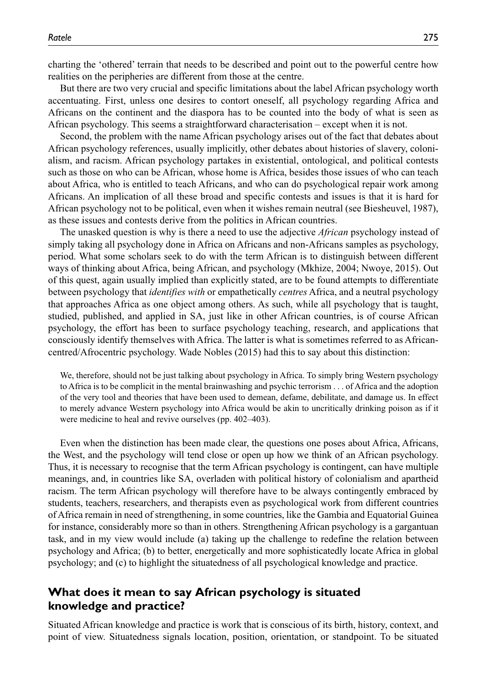charting the 'othered' terrain that needs to be described and point out to the powerful centre how realities on the peripheries are different from those at the centre.

But there are two very crucial and specific limitations about the label African psychology worth accentuating. First, unless one desires to contort oneself, all psychology regarding Africa and Africans on the continent and the diaspora has to be counted into the body of what is seen as African psychology. This seems a straightforward characterisation – except when it is not.

Second, the problem with the name African psychology arises out of the fact that debates about African psychology references, usually implicitly, other debates about histories of slavery, colonialism, and racism. African psychology partakes in existential, ontological, and political contests such as those on who can be African, whose home is Africa, besides those issues of who can teach about Africa, who is entitled to teach Africans, and who can do psychological repair work among Africans. An implication of all these broad and specific contests and issues is that it is hard for African psychology not to be political, even when it wishes remain neutral (see Biesheuvel, 1987), as these issues and contests derive from the politics in African countries.

The unasked question is why is there a need to use the adjective *African* psychology instead of simply taking all psychology done in Africa on Africans and non-Africans samples as psychology, period. What some scholars seek to do with the term African is to distinguish between different ways of thinking about Africa, being African, and psychology (Mkhize, 2004; Nwoye, 2015). Out of this quest, again usually implied than explicitly stated, are to be found attempts to differentiate between psychology that *identifies with* or empathetically *centres* Africa, and a neutral psychology that approaches Africa as one object among others. As such, while all psychology that is taught, studied, published, and applied in SA, just like in other African countries, is of course African psychology, the effort has been to surface psychology teaching, research, and applications that consciously identify themselves with Africa. The latter is what is sometimes referred to as Africancentred/Afrocentric psychology. Wade Nobles (2015) had this to say about this distinction:

We, therefore, should not be just talking about psychology in Africa. To simply bring Western psychology to Africa is to be complicit in the mental brainwashing and psychic terrorism . . . of Africa and the adoption of the very tool and theories that have been used to demean, defame, debilitate, and damage us. In effect to merely advance Western psychology into Africa would be akin to uncritically drinking poison as if it were medicine to heal and revive ourselves (pp. 402–403).

Even when the distinction has been made clear, the questions one poses about Africa, Africans, the West, and the psychology will tend close or open up how we think of an African psychology. Thus, it is necessary to recognise that the term African psychology is contingent, can have multiple meanings, and, in countries like SA, overladen with political history of colonialism and apartheid racism. The term African psychology will therefore have to be always contingently embraced by students, teachers, researchers, and therapists even as psychological work from different countries of Africa remain in need of strengthening, in some countries, like the Gambia and Equatorial Guinea for instance, considerably more so than in others. Strengthening African psychology is a gargantuan task, and in my view would include (a) taking up the challenge to redefine the relation between psychology and Africa; (b) to better, energetically and more sophisticatedly locate Africa in global psychology; and (c) to highlight the situatedness of all psychological knowledge and practice.

#### **What does it mean to say African psychology is situated knowledge and practice?**

Situated African knowledge and practice is work that is conscious of its birth, history, context, and point of view. Situatedness signals location, position, orientation, or standpoint. To be situated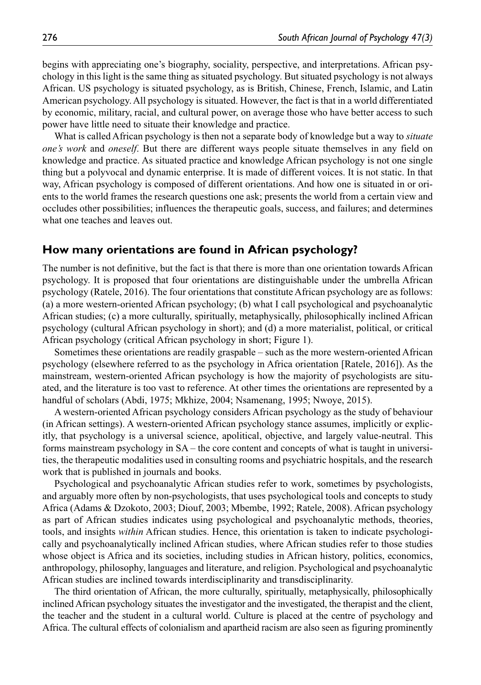begins with appreciating one's biography, sociality, perspective, and interpretations. African psychology in this light is the same thing as situated psychology. But situated psychology is not always African. US psychology is situated psychology, as is British, Chinese, French, Islamic, and Latin American psychology. All psychology is situated. However, the fact is that in a world differentiated by economic, military, racial, and cultural power, on average those who have better access to such power have little need to situate their knowledge and practice.

What is called African psychology is then not a separate body of knowledge but a way to *situate one's work* and *oneself*. But there are different ways people situate themselves in any field on knowledge and practice. As situated practice and knowledge African psychology is not one single thing but a polyvocal and dynamic enterprise. It is made of different voices. It is not static. In that way, African psychology is composed of different orientations. And how one is situated in or orients to the world frames the research questions one ask; presents the world from a certain view and occludes other possibilities; influences the therapeutic goals, success, and failures; and determines what one teaches and leaves out.

#### **How many orientations are found in African psychology?**

The number is not definitive, but the fact is that there is more than one orientation towards African psychology. It is proposed that four orientations are distinguishable under the umbrella African psychology (Ratele, 2016). The four orientations that constitute African psychology are as follows: (a) a more western-oriented African psychology; (b) what I call psychological and psychoanalytic African studies; (c) a more culturally, spiritually, metaphysically, philosophically inclined African psychology (cultural African psychology in short); and (d) a more materialist, political, or critical African psychology (critical African psychology in short; Figure 1).

Sometimes these orientations are readily graspable – such as the more western-oriented African psychology (elsewhere referred to as the psychology in Africa orientation [Ratele, 2016]). As the mainstream, western-oriented African psychology is how the majority of psychologists are situated, and the literature is too vast to reference. At other times the orientations are represented by a handful of scholars (Abdi, 1975; Mkhize, 2004; Nsamenang, 1995; Nwoye, 2015).

A western-oriented African psychology considers African psychology as the study of behaviour (in African settings). A western-oriented African psychology stance assumes, implicitly or explicitly, that psychology is a universal science, apolitical, objective, and largely value-neutral. This forms mainstream psychology in SA – the core content and concepts of what is taught in universities, the therapeutic modalities used in consulting rooms and psychiatric hospitals, and the research work that is published in journals and books.

Psychological and psychoanalytic African studies refer to work, sometimes by psychologists, and arguably more often by non-psychologists, that uses psychological tools and concepts to study Africa (Adams & Dzokoto, 2003; Diouf, 2003; Mbembe, 1992; Ratele, 2008). African psychology as part of African studies indicates using psychological and psychoanalytic methods, theories, tools, and insights *within* African studies. Hence, this orientation is taken to indicate psychologically and psychoanalytically inclined African studies, where African studies refer to those studies whose object is Africa and its societies, including studies in African history, politics, economics, anthropology, philosophy, languages and literature, and religion. Psychological and psychoanalytic African studies are inclined towards interdisciplinarity and transdisciplinarity.

The third orientation of African, the more culturally, spiritually, metaphysically, philosophically inclined African psychology situates the investigator and the investigated, the therapist and the client, the teacher and the student in a cultural world. Culture is placed at the centre of psychology and Africa. The cultural effects of colonialism and apartheid racism are also seen as figuring prominently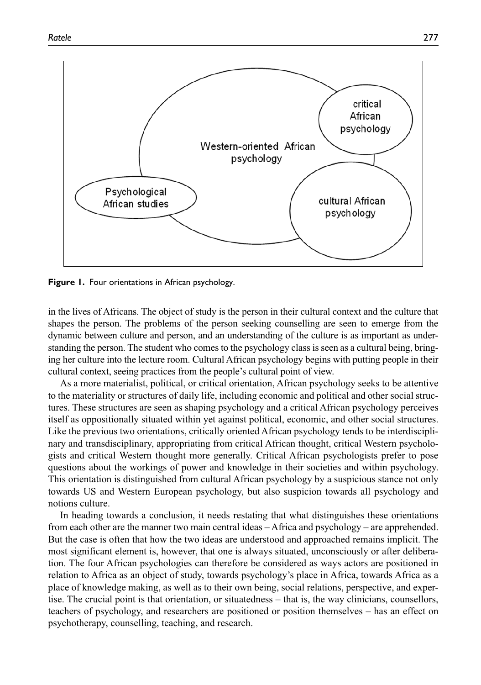

**Figure 1.** Four orientations in African psychology.

in the lives of Africans. The object of study is the person in their cultural context and the culture that shapes the person. The problems of the person seeking counselling are seen to emerge from the dynamic between culture and person, and an understanding of the culture is as important as understanding the person. The student who comes to the psychology class is seen as a cultural being, bringing her culture into the lecture room. Cultural African psychology begins with putting people in their cultural context, seeing practices from the people's cultural point of view.

As a more materialist, political, or critical orientation, African psychology seeks to be attentive to the materiality or structures of daily life, including economic and political and other social structures. These structures are seen as shaping psychology and a critical African psychology perceives itself as oppositionally situated within yet against political, economic, and other social structures. Like the previous two orientations, critically oriented African psychology tends to be interdisciplinary and transdisciplinary, appropriating from critical African thought, critical Western psychologists and critical Western thought more generally. Critical African psychologists prefer to pose questions about the workings of power and knowledge in their societies and within psychology. This orientation is distinguished from cultural African psychology by a suspicious stance not only towards US and Western European psychology, but also suspicion towards all psychology and notions culture.

In heading towards a conclusion, it needs restating that what distinguishes these orientations from each other are the manner two main central ideas – Africa and psychology – are apprehended. But the case is often that how the two ideas are understood and approached remains implicit. The most significant element is, however, that one is always situated, unconsciously or after deliberation. The four African psychologies can therefore be considered as ways actors are positioned in relation to Africa as an object of study, towards psychology's place in Africa, towards Africa as a place of knowledge making, as well as to their own being, social relations, perspective, and expertise. The crucial point is that orientation, or situatedness – that is, the way clinicians, counsellors, teachers of psychology, and researchers are positioned or position themselves – has an effect on psychotherapy, counselling, teaching, and research.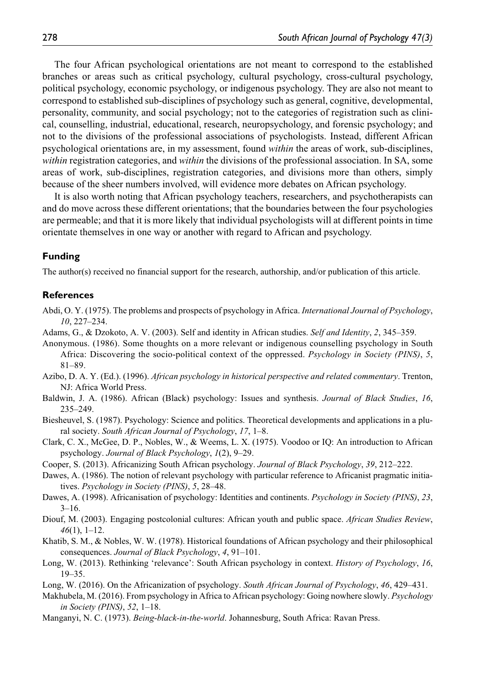The four African psychological orientations are not meant to correspond to the established branches or areas such as critical psychology, cultural psychology, cross-cultural psychology, political psychology, economic psychology, or indigenous psychology. They are also not meant to correspond to established sub-disciplines of psychology such as general, cognitive, developmental, personality, community, and social psychology; not to the categories of registration such as clinical, counselling, industrial, educational, research, neuropsychology, and forensic psychology; and not to the divisions of the professional associations of psychologists. Instead, different African psychological orientations are, in my assessment, found *within* the areas of work, sub-disciplines, *within* registration categories, and *within* the divisions of the professional association. In SA, some areas of work, sub-disciplines, registration categories, and divisions more than others, simply because of the sheer numbers involved, will evidence more debates on African psychology.

It is also worth noting that African psychology teachers, researchers, and psychotherapists can and do move across these different orientations; that the boundaries between the four psychologies are permeable; and that it is more likely that individual psychologists will at different points in time orientate themselves in one way or another with regard to African and psychology.

#### **Funding**

The author(s) received no financial support for the research, authorship, and/or publication of this article.

#### **References**

- Abdi, O. Y. (1975). The problems and prospects of psychology in Africa. *International Journal of Psychology*, *10*, 227–234.
- Adams, G., & Dzokoto, A. V. (2003). Self and identity in African studies. *Self and Identity*, *2*, 345–359.
- Anonymous. (1986). Some thoughts on a more relevant or indigenous counselling psychology in South Africa: Discovering the socio-political context of the oppressed. *Psychology in Society (PINS)*, *5*, 81–89.
- Azibo, D. A. Y. (Ed.). (1996). *African psychology in historical perspective and related commentary*. Trenton, NJ: Africa World Press.
- Baldwin, J. A. (1986). African (Black) psychology: Issues and synthesis. *Journal of Black Studies*, *16*, 235–249.
- Biesheuvel, S. (1987). Psychology: Science and politics. Theoretical developments and applications in a plural society. *South African Journal of Psychology*, *17*, 1–8.
- Clark, C. X., McGee, D. P., Nobles, W., & Weems, L. X. (1975). Voodoo or IQ: An introduction to African psychology. *Journal of Black Psychology*, *1*(2), 9–29.
- Cooper, S. (2013). Africanizing South African psychology. *Journal of Black Psychology*, *39*, 212–222.
- Dawes, A. (1986). The notion of relevant psychology with particular reference to Africanist pragmatic initiatives. *Psychology in Society (PINS)*, *5*, 28–48.
- Dawes, A. (1998). Africanisation of psychology: Identities and continents. *Psychology in Society (PINS)*, *23*,  $3-16$ .
- Diouf, M. (2003). Engaging postcolonial cultures: African youth and public space. *African Studies Review*, *46*(1), 1–12.
- Khatib, S. M., & Nobles, W. W. (1978). Historical foundations of African psychology and their philosophical consequences. *Journal of Black Psychology*, *4*, 91–101.
- Long, W. (2013). Rethinking 'relevance': South African psychology in context. *History of Psychology*, *16*, 19–35.
- Long, W. (2016). On the Africanization of psychology. *South African Journal of Psychology*, *46*, 429–431.
- Makhubela, M. (2016). From psychology in Africa to African psychology: Going nowhere slowly. *Psychology in Society (PINS)*, *52*, 1–18.
- Manganyi, N. C. (1973). *Being-black-in-the-world*. Johannesburg, South Africa: Ravan Press.